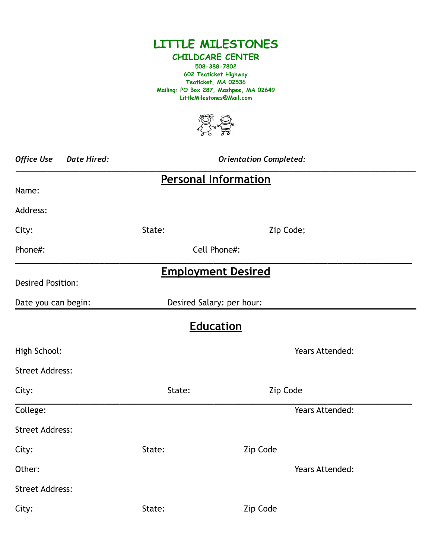

## **CHILDCARE CENTER 508-388-7802 602 Teaticket Highway Teaticket, MA 02536 Mailing: PO Box 287, Mashpee, MA 02649 LittleMilestones@Mail.com**



| <b>Office Use</b><br><b>Date Hired:</b> | <b>Orientation Completed:</b> |                 |  |  |  |  |  |  |  |
|-----------------------------------------|-------------------------------|-----------------|--|--|--|--|--|--|--|
| <b>Personal Information</b>             |                               |                 |  |  |  |  |  |  |  |
| Name:                                   |                               |                 |  |  |  |  |  |  |  |
| Address:                                |                               |                 |  |  |  |  |  |  |  |
| City:                                   | State:                        | Zip Code;       |  |  |  |  |  |  |  |
| Phone#:                                 | Cell Phone#:                  |                 |  |  |  |  |  |  |  |
|                                         | <b>Employment Desired</b>     |                 |  |  |  |  |  |  |  |
| <b>Desired Position:</b>                |                               |                 |  |  |  |  |  |  |  |
| Date you can begin:                     | Desired Salary: per hour:     |                 |  |  |  |  |  |  |  |
|                                         | <b>Education</b>              |                 |  |  |  |  |  |  |  |
| High School:                            |                               | Years Attended: |  |  |  |  |  |  |  |
| <b>Street Address:</b>                  |                               |                 |  |  |  |  |  |  |  |
| City:                                   | State:                        | Zip Code        |  |  |  |  |  |  |  |
| College:                                |                               | Years Attended: |  |  |  |  |  |  |  |
| <b>Street Address:</b>                  |                               |                 |  |  |  |  |  |  |  |
| City:                                   | State:                        | Zip Code        |  |  |  |  |  |  |  |
| Other:                                  |                               | Years Attended: |  |  |  |  |  |  |  |
| <b>Street Address:</b>                  |                               |                 |  |  |  |  |  |  |  |
| City:                                   | State:                        | Zip Code        |  |  |  |  |  |  |  |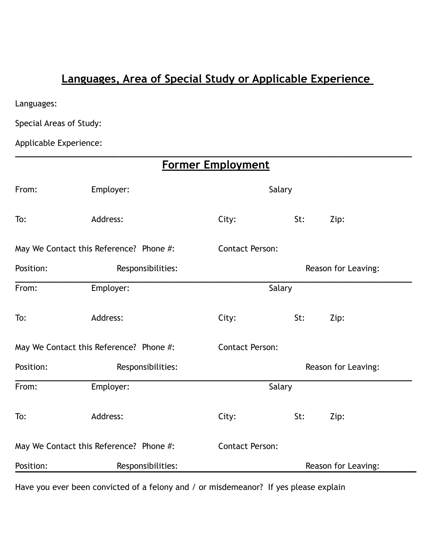## **Languages, Area of Special Study or Applicable Experience**

**\_\_\_\_\_\_\_\_\_\_\_\_\_\_\_\_\_\_\_\_\_\_\_\_\_\_\_\_\_\_\_\_\_\_\_\_\_\_\_\_\_\_\_\_\_\_\_\_\_\_\_\_\_\_\_\_\_\_\_\_\_\_\_\_\_\_\_\_\_\_\_\_\_\_\_\_\_\_\_\_**

Languages:

Special Areas of Study:

Applicable Experience:

| <b>Former Employment</b>                |                   |                        |        |                     |  |  |  |  |
|-----------------------------------------|-------------------|------------------------|--------|---------------------|--|--|--|--|
| From:                                   | Employer:         |                        | Salary |                     |  |  |  |  |
| To:                                     | Address:          | City:                  | St:    | Zip:                |  |  |  |  |
| May We Contact this Reference? Phone #: |                   | <b>Contact Person:</b> |        |                     |  |  |  |  |
| Position:                               | Responsibilities: |                        |        | Reason for Leaving: |  |  |  |  |
| From:                                   | Employer:         |                        | Salary |                     |  |  |  |  |
| To:                                     | Address:          | City:                  | St:    | Zip:                |  |  |  |  |
| May We Contact this Reference? Phone #: |                   | <b>Contact Person:</b> |        |                     |  |  |  |  |
| Position:                               | Responsibilities: |                        |        | Reason for Leaving: |  |  |  |  |
| From:                                   | Employer:         |                        | Salary |                     |  |  |  |  |
| To:                                     | Address:          | City:                  | St:    | Zip:                |  |  |  |  |
| May We Contact this Reference? Phone #: |                   | <b>Contact Person:</b> |        |                     |  |  |  |  |
| Position:                               | Responsibilities: |                        |        | Reason for Leaving: |  |  |  |  |

Have you ever been convicted of a felony and / or misdemeanor? If yes please explain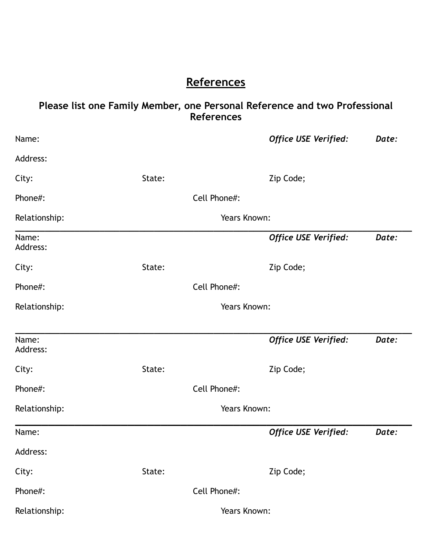## **References**

## **Please list one Family Member, one Personal Reference and two Professional References**

| Name:             |              |              | <b>Office USE Verified:</b> | Date: |  |
|-------------------|--------------|--------------|-----------------------------|-------|--|
| Address:          |              |              |                             |       |  |
| City:             | State:       |              | Zip Code;                   |       |  |
| Phone#:           |              | Cell Phone#: |                             |       |  |
| Relationship:     | Years Known: |              |                             |       |  |
| Name:<br>Address: |              |              | <b>Office USE Verified:</b> | Date: |  |
| City:             | State:       |              | Zip Code;                   |       |  |
| Phone#:           |              | Cell Phone#: |                             |       |  |
| Relationship:     | Years Known: |              |                             |       |  |
|                   |              |              |                             |       |  |
| Name:<br>Address: |              |              | <b>Office USE Verified:</b> | Date: |  |
| City:             | State:       |              | Zip Code;                   |       |  |
| Phone#:           |              | Cell Phone#: |                             |       |  |
| Relationship:     |              | Years Known: |                             |       |  |
| Name:             |              |              | <b>Office USE Verified:</b> | Date: |  |
| Address:          |              |              |                             |       |  |
| City:             | State:       |              | Zip Code;                   |       |  |
| Phone#:           |              | Cell Phone#: |                             |       |  |
| Relationship:     |              | Years Known: |                             |       |  |